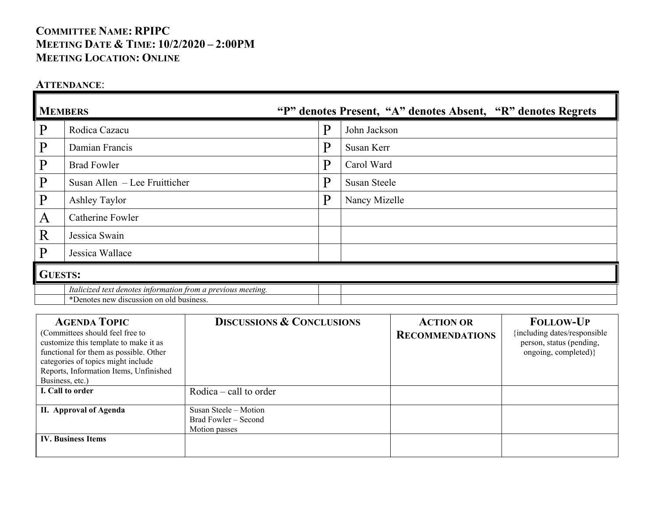# **COMMITTEE NAME: RPIPC MEETING DATE & TIME: 10/2/2020 – 2:00PM MEETING LOCATION: ONLINE**

### **ATTENDANCE**:

| <b>MEMBERS</b> |                                                                                                          | "P" denotes Present, "A" denotes Absent, "R" denotes Regrets |               |  |  |
|----------------|----------------------------------------------------------------------------------------------------------|--------------------------------------------------------------|---------------|--|--|
| P              | Rodica Cazacu                                                                                            | P                                                            | John Jackson  |  |  |
| $\mathbf{P}$   | Damian Francis                                                                                           | P                                                            | Susan Kerr    |  |  |
| $\mathbf{P}$   | <b>Brad Fowler</b>                                                                                       | P                                                            | Carol Ward    |  |  |
| $\mathbf{p}$   | Susan Allen – Lee Fruitticher                                                                            | P                                                            | Susan Steele  |  |  |
| $\mathbf{P}$   | Ashley Taylor                                                                                            | P                                                            | Nancy Mizelle |  |  |
| A              | Catherine Fowler                                                                                         |                                                              |               |  |  |
| R              | Jessica Swain                                                                                            |                                                              |               |  |  |
| $\mathbf P$    | Jessica Wallace                                                                                          |                                                              |               |  |  |
| <b>GUESTS:</b> |                                                                                                          |                                                              |               |  |  |
|                | Italicized text denotes information from a previous meeting.<br>*Denotes new discussion on old business. |                                                              |               |  |  |

| <b>AGENDA TOPIC</b><br>(Committees should feel free to<br>customize this template to make it as<br>functional for them as possible. Other<br>categories of topics might include<br>Reports, Information Items, Unfinished<br>Business, etc.) | <b>DISCUSSIONS &amp; CONCLUSIONS</b> | <b>ACTION OR</b><br><b>RECOMMENDATIONS</b> | <b>FOLLOW-UP</b><br>{including dates/responsible<br>person, status (pending,<br>ongoing, completed)} |
|----------------------------------------------------------------------------------------------------------------------------------------------------------------------------------------------------------------------------------------------|--------------------------------------|--------------------------------------------|------------------------------------------------------------------------------------------------------|
| I. Call to order                                                                                                                                                                                                                             |                                      |                                            |                                                                                                      |
|                                                                                                                                                                                                                                              | Rodica $-$ call to order             |                                            |                                                                                                      |
| II. Approval of Agenda                                                                                                                                                                                                                       | Susan Steele - Motion                |                                            |                                                                                                      |
|                                                                                                                                                                                                                                              | Brad Fowler – Second                 |                                            |                                                                                                      |
|                                                                                                                                                                                                                                              | Motion passes                        |                                            |                                                                                                      |
| <b>IV. Business Items</b>                                                                                                                                                                                                                    |                                      |                                            |                                                                                                      |
|                                                                                                                                                                                                                                              |                                      |                                            |                                                                                                      |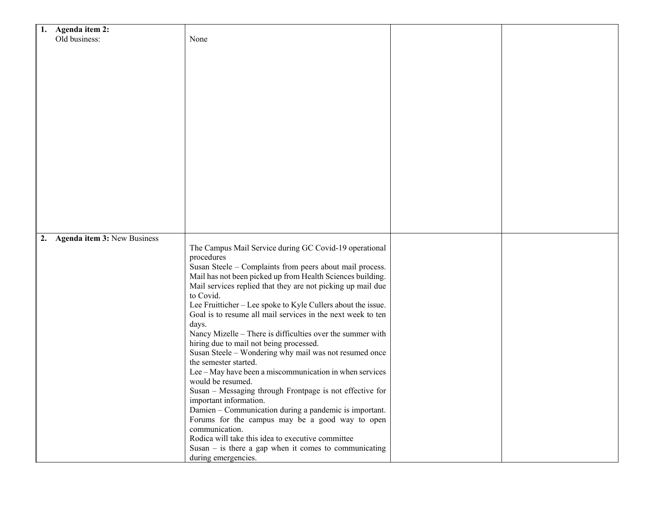| Agenda item 2:<br>1.              |                                                              |  |
|-----------------------------------|--------------------------------------------------------------|--|
| Old business:                     | None                                                         |  |
|                                   |                                                              |  |
|                                   |                                                              |  |
|                                   |                                                              |  |
|                                   |                                                              |  |
|                                   |                                                              |  |
|                                   |                                                              |  |
|                                   |                                                              |  |
|                                   |                                                              |  |
|                                   |                                                              |  |
|                                   |                                                              |  |
|                                   |                                                              |  |
|                                   |                                                              |  |
|                                   |                                                              |  |
|                                   |                                                              |  |
|                                   |                                                              |  |
|                                   |                                                              |  |
|                                   |                                                              |  |
|                                   |                                                              |  |
|                                   |                                                              |  |
|                                   |                                                              |  |
|                                   |                                                              |  |
| Agenda item 3: New Business<br>2. |                                                              |  |
|                                   | The Campus Mail Service during GC Covid-19 operational       |  |
|                                   | procedures                                                   |  |
|                                   | Susan Steele - Complaints from peers about mail process.     |  |
|                                   | Mail has not been picked up from Health Sciences building.   |  |
|                                   | Mail services replied that they are not picking up mail due  |  |
|                                   | to Covid.                                                    |  |
|                                   | Lee Fruitticher - Lee spoke to Kyle Cullers about the issue. |  |
|                                   | Goal is to resume all mail services in the next week to ten  |  |
|                                   |                                                              |  |
|                                   | days.                                                        |  |
|                                   | Nancy Mizelle - There is difficulties over the summer with   |  |
|                                   | hiring due to mail not being processed.                      |  |
|                                   | Susan Steele - Wondering why mail was not resumed once       |  |
|                                   | the semester started.                                        |  |
|                                   | Lee - May have been a miscommunication in when services      |  |
|                                   | would be resumed.                                            |  |
|                                   | Susan - Messaging through Frontpage is not effective for     |  |
|                                   | important information.                                       |  |
|                                   | Damien - Communication during a pandemic is important.       |  |
|                                   | Forums for the campus may be a good way to open              |  |
|                                   | communication.                                               |  |
|                                   | Rodica will take this idea to executive committee            |  |
|                                   | Susan $-$ is there a gap when it comes to communicating      |  |
|                                   | during emergencies.                                          |  |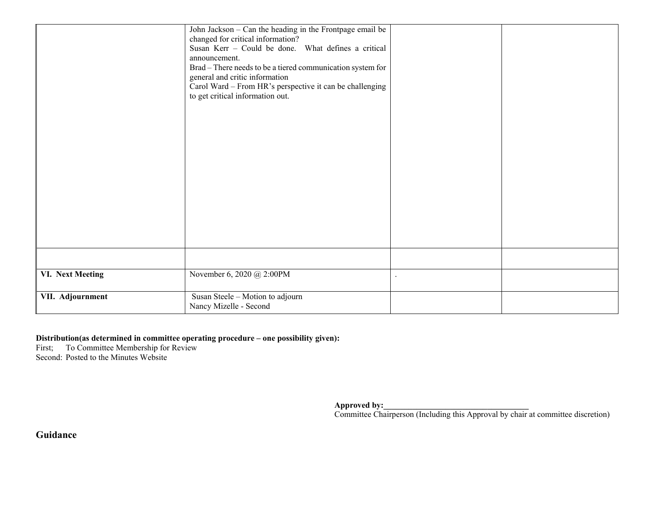|                  | John Jackson - Can the heading in the Frontpage email be   |  |
|------------------|------------------------------------------------------------|--|
|                  | changed for critical information?                          |  |
|                  | Susan Kerr - Could be done. What defines a critical        |  |
|                  | announcement.                                              |  |
|                  | Brad - There needs to be a tiered communication system for |  |
|                  | general and critic information                             |  |
|                  | Carol Ward - From HR's perspective it can be challenging   |  |
|                  | to get critical information out.                           |  |
|                  |                                                            |  |
|                  |                                                            |  |
|                  |                                                            |  |
|                  |                                                            |  |
|                  |                                                            |  |
|                  |                                                            |  |
|                  |                                                            |  |
|                  |                                                            |  |
|                  |                                                            |  |
|                  |                                                            |  |
|                  |                                                            |  |
|                  |                                                            |  |
|                  |                                                            |  |
|                  |                                                            |  |
|                  |                                                            |  |
|                  |                                                            |  |
| VI. Next Meeting | November 6, 2020 @ 2:00PM                                  |  |
|                  |                                                            |  |
| VII. Adjournment | Susan Steele - Motion to adjourn                           |  |
|                  | Nancy Mizelle - Second                                     |  |
|                  |                                                            |  |

#### **Distribution(as determined in committee operating procedure – one possibility given):**

First; To Committee Membership for Review Second: Posted to the Minutes Website

**Approved by:\_\_\_\_\_\_\_\_\_\_\_\_\_\_\_\_\_\_\_\_\_\_\_\_\_\_\_\_\_\_\_\_\_\_\_**

Committee Chairperson (Including this Approval by chair at committee discretion)

**Guidance**